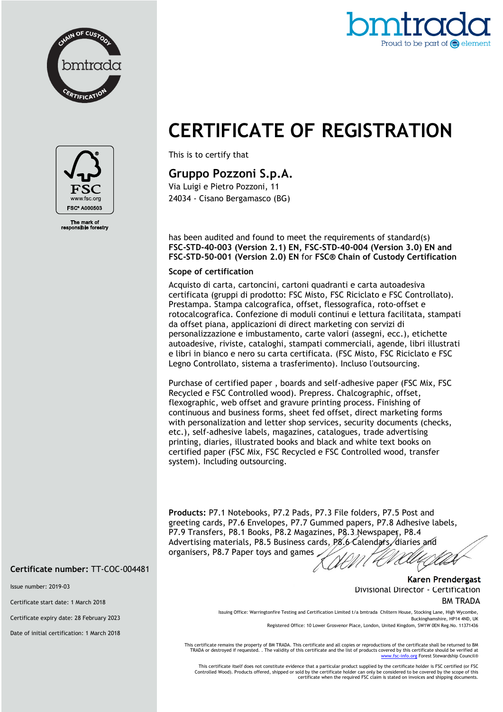



# **CERTIFICATE OF REGISTRATION**

This is to certify that

## **Gruppo Pozzoni S.p.A.**

Via Luigi e Pietro Pozzoni, 11 24034 - Cisano Bergamasco (BG)

has been audited and found to meet the requirements of standard(s) **FSC-STD-40-003 (Version 2.1) EN, FSC-STD-40-004 (Version 3.0) EN and FSC-STD-50-001 (Version 2.0) EN** for **FSC® Chain of Custody Certification** 

#### **Scope of certification**

Acquisto di carta, cartoncini, cartoni quadranti e carta autoadesiva certificata (gruppi di prodotto: FSC Misto, FSC Riciclato e FSC Controllato). Prestampa. Stampa calcografica, offset, flessografica, roto-offset e rotocalcografica. Confezione di moduli continui e lettura facilitata, stampati da offset piana, applicazioni di direct marketing con servizi di personalizzazione e imbustamento, carte valori (assegni, ecc.), etichette autoadesive, riviste, cataloghi, stampati commerciali, agende, libri illustrati e libri in bianco e nero su carta certificata. (FSC Misto, FSC Riciclato e FSC Legno Controllato, sistema a trasferimento). Incluso l'outsourcing.

Purchase of certified paper , boards and self-adhesive paper (FSC Mix, FSC Recycled e FSC Controlled wood). Prepress. Chalcographic, offset, flexographic, web offset and gravure printing process. Finishing of continuous and business forms, sheet fed offset, direct marketing forms with personalization and letter shop services, security documents (checks, etc.), self-adhesive labels, magazines, catalogues, trade advertising printing, diaries, illustrated books and black and white text books on certified paper (FSC Mix, FSC Recycled e FSC Controlled wood, transfer system). Including outsourcing.

**Products:** P7.1 Notebooks, P7.2 Pads, P7.3 File folders, P7.5 Post and greeting cards, P7.6 Envelopes, P7.7 Gummed papers, P7.8 Adhesive labels, P7.9 Transfers, P8.1 Books, P8.2 Magazines, P8.3 Newspaper, P8.4 Advertising materials, P8.5 Business cards, P8.6 Calendars, diaries and organisers, P8.7 Paper toys and games

#### **Certificate number:** TT-COC-004481

Issue number: 2019-03

Certificate start date: 1 March 2018

Certificate expiry date: 28 February 2023

Date of initial certification: 1 March 2018

**Karen Prendergast** Divisional Director - Certification

BM TRADA

Issuing Office: Warringtonfire Testing and Certification Limited t/a bmtrada Chiltern House, Stocking Lane, High Wycombe, Buckinghamshire, HP14 4ND, UK Registered Office: 10 Lower Grosvenor Place, London, United Kingdom, SW1W 0EN Reg.No. 11371436

This certificate remains the property of BM TRADA. This certificate and all copies or reproductions of the certificate shall be returned to BM TRADA or destroyed if requested. . The validity of this certificate and the list of products covered by this certificate should be verified at

nfo.org Forest Stewardship Council® This certificate itself does not constitute evidence that a particular product supplied by the certificate holder is FSC certified (or FSC Controlled Wood). Products offered, shipped or sold by the certificate holder can only be considered to be covered by the scope of this certificate when the required FSC claim is stated on invoices and shipping documents.



The mark of<br>ponsible fore